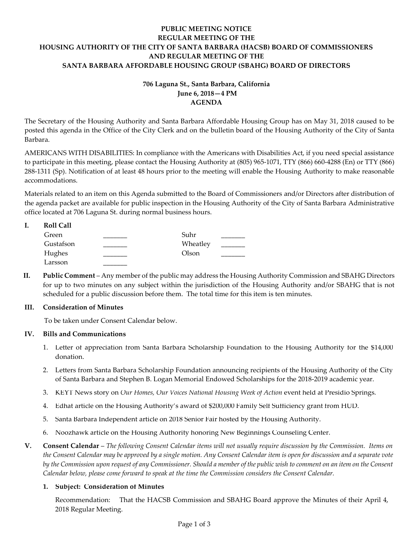# **PUBLIC MEETING NOTICE REGULAR MEETING OF THE HOUSING AUTHORITY OF THE CITY OF SANTA BARBARA (HACSB) BOARD OF COMMISSIONERS AND REGULAR MEETING OF THE SANTA BARBARA AFFORDABLE HOUSING GROUP (SBAHG) BOARD OF DIRECTORS**

# **706 Laguna St., Santa Barbara, California June 6, 2018—4 PM AGENDA**

The Secretary of the Housing Authority and Santa Barbara Affordable Housing Group has on May 31, 2018 caused to be posted this agenda in the Office of the City Clerk and on the bulletin board of the Housing Authority of the City of Santa Barbara.

AMERICANS WITH DISABILITIES: In compliance with the Americans with Disabilities Act, if you need special assistance to participate in this meeting, please contact the Housing Authority at (805) 965-1071, TTY (866) 660-4288 (En) or TTY (866) 288-1311 (Sp). Notification of at least 48 hours prior to the meeting will enable the Housing Authority to make reasonable accommodations.

Materials related to an item on this Agenda submitted to the Board of Commissioners and/or Directors after distribution of the agenda packet are available for public inspection in the Housing Authority of the City of Santa Barbara Administrative office located at 706 Laguna St. during normal business hours.

| <b>Roll Call</b> |          |  |
|------------------|----------|--|
| Green            | Suhr     |  |
| Gustafson        | Wheatley |  |
| Hughes           | Olson    |  |
| Larsson          |          |  |

**II. Public Comment** – Any member of the public may address the Housing Authority Commission and SBAHG Directors for up to two minutes on any subject within the jurisdiction of the Housing Authority and/or SBAHG that is not scheduled for a public discussion before them. The total time for this item is ten minutes.

## **III. Consideration of Minutes**

To be taken under Consent Calendar below.

## **IV. Bills and Communications**

- 1. [Letter of appreciation from Santa Barbara Scholarship Foundation to](https://hacsb.org/download/meetings_2018/items/06_june/Item-IV.1.pdf) the Housing Authority for the \$14,000 donation.
- 2. Letters [from Santa Barbara Scholarship Foundation announcing recipients of the Housing Authority of the City](https://hacsb.org/download/meetings_2018/items/06_june/Item-IV.2.pdf)  of Santa Barbara and Stephen B. Logan Memorial Endowed Scholarships for the 2018-2019 academic year.
- 3. KEYT News story on *[Our Homes, Our Voices National Housing Week of Action](https://hacsb.org/download/meetings_2018/items/06_june/Item-IV.3.pdf)* event held at Presidio Springs.
- 4. Edhat [article on the Housing Authority's award of \\$200,000 F](https://hacsb.org/download/meetings_2018/items/06_june/Item-IV.4.pdf)amily Self Sufficiency grant from HUD.
- 5. Santa Barbara Independent [article on 2018 Senior Fair hosted by the Housing Authority.](https://hacsb.org/download/meetings_2018/items/06_june/Item-IV.5.pdf)
- 6. [Noozhawk article on the Housing Authority honoring New Beginnings Counseling Center.](https://hacsb.org/download/meetings_2018/items/06_june/Item-IV.6.pdf)
- **V. Consent Calendar** *The following Consent Calendar items will not usually require discussion by the Commission. Items on the Consent Calendar may be approved by a single motion. Any Consent Calendar item is open for discussion and a separate vote by the Commission upon request of any Commissioner. Should a member of the public wish to comment on an item on the Consent Calendar below, please come forward to speak at the time the Commission considers the Consent Calendar.*

# **1. Subject: Consideration of Minutes**

[Recommendation: That the HACSB Commission and SBAHG Board approve the Minutes of their April 4,](https://hacsb.org/download/meetings_2018/items/06_june/Item-V.1.pdf)  2018 Regular Meeting.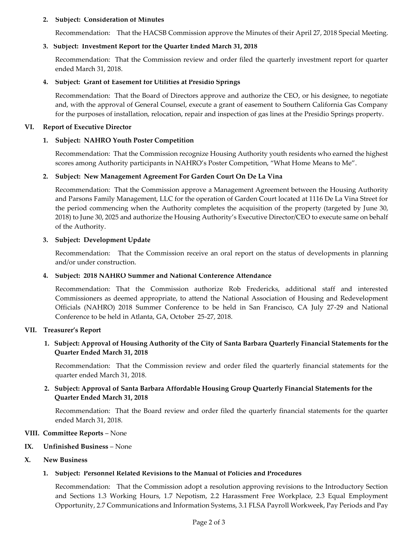### **2. Subject: Consideration of Minutes**

[Recommendation: That the HACSB Commission approve the Minutes of their April 27, 2018 Special](https://hacsb.org/download/meetings_2018/items/06_june/Item-V.2.pdf) Meeting.

## **3. Subject: Investment Report for the Quarter Ended March 31, 2018**

[Recommendation: That the Commission review and order filed the quarterly investment report for quarter](https://hacsb.org/download/meetings_2018/items/06_june/Item-V.3.pdf) ended March 31, 2018.

## **4. Subject: Grant of Easement for Utilities at Presidio Springs**

[Recommendation: That the Board of Directors approve and authorize the CEO, or his designee, to negotiate](https://hacsb.org/download/meetings_2018/items/06_june/Item-V.4.pdf)  and, with the approval of General Counsel, execute a grant of easement to Southern California Gas Company for the purposes of installation, relocation, repair and inspection of gas lines at the Presidio Springs property.

### **VI. Report of Executive Director**

## **1. Subject: NAHRO Youth Poster Competition**

Recommendation: That the Commission recognize Housing Authority youth residents who earned the highest scores among Authority participants in NAHRO's Poster Competition, "What Home Means to Me".

### **2. Subject: New Management Agreement For Garden Court On De La Vina**

Recommendation: That the Commission approve a Management Agreement between the Housing Authority [and Parsons Family Management, LLC for the operation of Garden Court located at 1116 De La Vina Street for](https://hacsb.org/download/meetings_2018/items/06_june/Item-VI.2.pdf)  the period commencing when the Authority completes the acquisition of the property (targeted by June 30, 2018) to June 30, 2025 and authorize the Housing Authority's Executive Director/CEO to execute same on behalf of the Authority.

### **3. Subject: Development Update**

Recommendation: That the Commission receive an oral report on the status of developments in planning and/or under construction.

#### **4. Subject: 2018 NAHRO Summer and National Conference Attendance**

[Recommendation: That the Commission authorize Rob Fredericks, additional staff and interested](https://hacsb.org/download/meetings_2018/items/06_june/Item-VI.4.pdf)  Commissioners as deemed appropriate, to attend the National Association of Housing and Redevelopment Officials (NAHRO) 2018 Summer Conference to be held in San Francisco, CA July 27-29 and National Conference to be held in Atlanta, GA, October 25-27, 2018.

#### **VII. Treasurer's Report**

## **[1. Subject: Approval of Housing Authority of the City of Santa Barbara Quarterly Financial Statements for the](https://hacsb.org/download/meetings_2018/items/06_june/Item-VII.1.pdf)  Quarter Ended March 31, 2018**

Recommendation: That the Commission review and order filed the quarterly financial statements for the quarter ended March 31, 2018.

## **[2. Subject: Approval of Santa Barbara Affordable Housing Group Quarterly Financial Statements for the](https://hacsb.org/download/meetings_2018/items/06_june/Item-VII.2.pdf)  Quarter Ended March 31, 2018**

Recommendation: That the Board review and order filed the quarterly financial statements for the quarter ended March 31, 2018.

#### **VIII. Committee Reports** – None

### **IX. Unfinished Business** – None

## **X. New Business**

## **1. Subject: Personnel Related Revisions to the Manual of Policies and Procedures**

Recommendation: That the Commission adopt a resolution approving revisions to the Introductory Section and Sections 1.3 Working Hours, 1.7 Nepotism, 2.2 Harassment Free Workplace, 2.3 Equal Employment [Opportunity, 2.7 Communications and Information Systems, 3.1 FLSA Payroll Workweek, Pay Periods and Pay](https://hacsb.org/download/meetings_2018/items/06_june/Item-X.1.pdf)